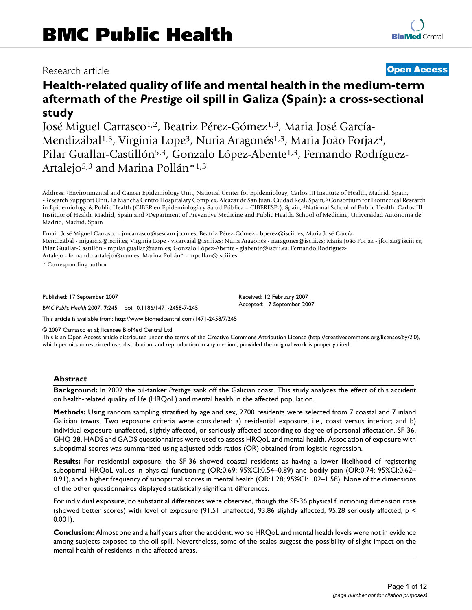# Research article **[Open Access](http://www.biomedcentral.com/info/about/charter/)**

# **Health-related quality of life and mental health in the medium-term aftermath of the** *Prestige* **oil spill in Galiza (Spain): a cross-sectional study**

José Miguel Carrasco<sup>1,2</sup>, Beatriz Pérez-Gómez<sup>1,3</sup>, Maria José García-Mendizábal<sup>1,3</sup>, Virginia Lope<sup>3</sup>, Nuria Aragonés<sup>1,3</sup>, Maria João Forjaz<sup>4</sup>, Pilar Guallar-Castillón<sup>5,3</sup>, Gonzalo López-Abente<sup>1,3</sup>, Fernando Rodríguez-Artalejo<sup>5,3</sup> and Marina Pollán<sup>\*1,3</sup>

Address: <sup>1</sup>Environmental and Cancer Epidemiology Unit, National Center for Epidemiology, Carlos III Institute of Health, Madrid, Spain,<br><sup>2</sup>Research Suppport Unit, La Mancha Centro Hospitalary Complex, Alcazar de San Juan, in Epidemiology & Public Health (CIBER en Epidemiología y Salud Pública – CIBERESP-), Spain, 4National School of Public Health. Carlos III Institute of Health, Madrid, Spain and 5Department of Preventive Medicine and Public Health, School of Medicine, Universidad Autónoma de Madrid, Madrid, Spain

Email: José Miguel Carrasco - jmcarrasco@sescam.jccm.es; Beatriz Pérez-Gómez - bperez@isciii.es; Maria José García-Mendizábal - mjgarcia@isciii.es; Virginia Lope - vicarvajal@isciii.es; Nuria Aragonés - naragones@isciii.es; Maria João Forjaz - jforjaz@isciii.es; Pilar Guallar-Castillón - mpilar.guallar@uam.es; Gonzalo López-Abente - glabente@isciii.es; Fernando Rodríguez-Artalejo - fernando.artalejo@uam.es; Marina Pollán\* - mpollan@isciii.es

\* Corresponding author

Published: 17 September 2007

*BMC Public Health* 2007, **7**:245 doi:10.1186/1471-2458-7-245

[This article is available from: http://www.biomedcentral.com/1471-2458/7/245](http://www.biomedcentral.com/1471-2458/7/245)

© 2007 Carrasco et al; licensee BioMed Central Ltd.

This is an Open Access article distributed under the terms of the Creative Commons Attribution License [\(http://creativecommons.org/licenses/by/2.0\)](http://creativecommons.org/licenses/by/2.0), which permits unrestricted use, distribution, and reproduction in any medium, provided the original work is properly cited.

Received: 12 February 2007 Accepted: 17 September 2007

#### **Abstract**

**Background:** In 2002 the oil-tanker *Prestige* sank off the Galician coast. This study analyzes the effect of this accident on health-related quality of life (HRQoL) and mental health in the affected population.

**Methods:** Using random sampling stratified by age and sex, 2700 residents were selected from 7 coastal and 7 inland Galician towns. Two exposure criteria were considered: a) residential exposure, i.e., coast versus interior; and b) individual exposure-unaffected, slightly affected, or seriously affected-according to degree of personal affectation. SF-36, GHQ-28, HADS and GADS questionnaires were used to assess HRQoL and mental health. Association of exposure with suboptimal scores was summarized using adjusted odds ratios (OR) obtained from logistic regression.

**Results:** For residential exposure, the SF-36 showed coastal residents as having a lower likelihood of registering suboptimal HRQoL values in physical functioning (OR:0.69; 95%CI:0.54–0.89) and bodily pain (OR:0.74; 95%CI:0.62– 0.91), and a higher frequency of suboptimal scores in mental health (OR:1.28; 95%CI:1.02–1.58). None of the dimensions of the other questionnaires displayed statistically significant differences.

For individual exposure, no substantial differences were observed, though the SF-36 physical functioning dimension rose (showed better scores) with level of exposure (91.51 unaffected, 93.86 slightly affected, 95.28 seriously affected, p < 0.001).

**Conclusion:** Almost one and a half years after the accident, worse HRQoL and mental health levels were not in evidence among subjects exposed to the oil-spill. Nevertheless, some of the scales suggest the possibility of slight impact on the mental health of residents in the affected areas.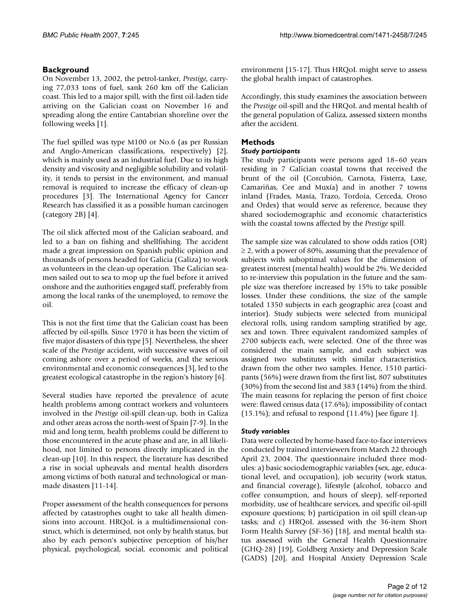# **Background**

On November 13, 2002, the petrol-tanker, *Prestige*, carrying 77,033 tons of fuel, sank 260 km off the Galician coast. This led to a major spill, with the first oil-laden tide arriving on the Galician coast on November 16 and spreading along the entire Cantabrian shoreline over the following weeks [1].

The fuel spilled was type M100 or No.6 (as per Russian and Anglo-American classifications, respectively) [2], which is mainly used as an industrial fuel. Due to its high density and viscosity and negligible solubility and volatility, it tends to persist in the environment, and manual removal is required to increase the efficacy of clean-up procedures [3]. The International Agency for Cancer Research has classified it as a possible human carcinogen (category 2B) [4].

The oil slick affected most of the Galician seaboard, and led to a ban on fishing and shellfishing. The accident made a great impression on Spanish public opinion and thousands of persons headed for Galicia (Galiza) to work as volunteers in the clean-up operation. The Galician seamen sailed out to sea to mop up the fuel before it arrived onshore and the authorities engaged staff, preferably from among the local ranks of the unemployed, to remove the oil.

This is not the first time that the Galician coast has been affected by oil-spills. Since 1970 it has been the victim of five major disasters of this type [5]. Nevertheless, the sheer scale of the *Prestige* accident, with successive waves of oil coming ashore over a period of weeks, and the serious environmental and economic consequences [3], led to the greatest ecological catastrophe in the region's history [6].

Several studies have reported the prevalence of acute health problems among contract workers and volunteers involved in the *Prestige* oil-spill clean-up, both in Galiza and other areas across the north-west of Spain [7-9]. In the mid and long term, health problems could be different to those encountered in the acute phase and are, in all likelihood, not limited to persons directly implicated in the clean-up [10]. In this respect, the literature has described a rise in social upheavals and mental health disorders among victims of both natural and technological or manmade disasters [11-14].

Proper assessment of the health consequences for persons affected by catastrophes ought to take all health dimensions into account. HRQoL is a multidimensional construct, which is determined, not only by health status, but also by each person's subjective perception of his/her physical, psychological, social, economic and political

environment [15-17]. Thus HRQoL might serve to assess the global health impact of catastrophes.

Accordingly, this study examines the association between the *Prestige* oil-spill and the HRQoL and mental health of the general population of Galiza, assessed sixteen months after the accident.

# **Methods**

# *Study participants*

The study participants were persons aged 18–60 years residing in 7 Galician coastal towns that received the brunt of the oil (Corcubión, Carnota, Fisterra, Laxe, Camariñas, Cee and Muxía) and in another 7 towns inland (Frades, Masía, Trazo, Tordoia, Cerceda, Oroso and Ordes) that would serve as reference, because they shared sociodemographic and economic characteristics with the coastal towns affected by the *Prestige* spill.

The sample size was calculated to show odds ratios (OR)  $\geq$  2, with a power of 80%, assuming that the prevalence of subjects with suboptimal values for the dimension of greatest interest (mental health) would be 2%. We decided to re-interview this population in the future and the sample size was therefore increased by 15% to take possible losses. Under these conditions, the size of the sample totaled 1350 subjects in each geographic area (coast and interior). Study subjects were selected from municipal electoral rolls, using random sampling stratified by age, sex and town. Three equivalent randomized samples of 2700 subjects each, were selected. One of the three was considered the main sample, and each subject was assigned two substitutes with similar characteristics, drawn from the other two samples. Hence, 1510 participants (56%) were drawn from the first list, 807 substitutes (30%) from the second list and 383 (14%) from the third. The main reasons for replacing the person of first choice were: flawed census data (17.6%); impossibility of contact  $(15.1\%)$ ; and refusal to respond  $(11.4\%)$  [see figure 1].

### *Study variables*

Data were collected by home-based face-to-face interviews conducted by trained interviewers from March 22 through April 23, 2004. The questionnaire included three modules: a) basic sociodemographic variables (sex, age, educational level, and occupation), job security (work status, and financial coverage), lifestyle (alcohol, tobacco and coffee consumption, and hours of sleep), self-reported morbidity, use of healthcare services, and specific oil-spill exposure questions; b) participation in oil spill clean-up tasks; and c) HRQoL assessed with the 36-item Short Form Health Survey (SF-36) [18], and mental health status assessed with the General Health Questionnaire (GHQ-28) [19], Goldberg Anxiety and Depression Scale (GADS) [20], and Hospital Anxiety Depression Scale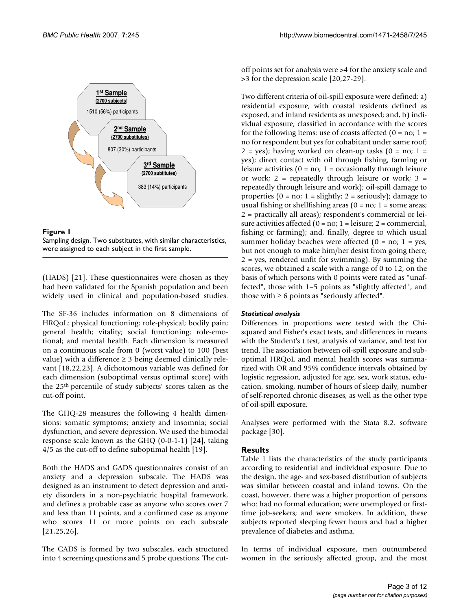



(HADS) [21]. These questionnaires were chosen as they had been validated for the Spanish population and been widely used in clinical and population-based studies.

The SF-36 includes information on 8 dimensions of HRQoL: physical functioning; role-physical; bodily pain; general health; vitality; social functioning; role-emotional; and mental health. Each dimension is measured on a continuous scale from 0 (worst value) to 100 (best value) with a difference  $\geq$  3 being deemed clinically relevant [18,22,23]. A dichotomous variable was defined for each dimension (suboptimal versus optimal score) with the 25th percentile of study subjects' scores taken as the cut-off point.

The GHQ-28 measures the following 4 health dimensions: somatic symptoms; anxiety and insomnia; social dysfunction; and severe depression. We used the bimodal response scale known as the GHQ (0-0-1-1) [24], taking 4/5 as the cut-off to define suboptimal health [19].

Both the HADS and GADS questionnaires consist of an anxiety and a depression subscale. The HADS was designed as an instrument to detect depression and anxiety disorders in a non-psychiatric hospital framework, and defines a probable case as anyone who scores over 7 and less than 11 points, and a confirmed case as anyone who scores 11 or more points on each subscale [21,25,26].

The GADS is formed by two subscales, each structured into 4 screening questions and 5 probe questions. The cutoff points set for analysis were >4 for the anxiety scale and >3 for the depression scale [20,27-29].

Two different criteria of oil-spill exposure were defined: a) residential exposure, with coastal residents defined as exposed, and inland residents as unexposed; and, b) individual exposure, classified in accordance with the scores for the following items: use of coasts affected  $(0 = no; 1 =$ no for respondent but yes for cohabitant under same roof;  $2 = yes$ ; having worked on clean-up tasks  $(0 = no; 1 =$ yes); direct contact with oil through fishing, farming or leisure activities ( $0 = no$ ; 1 = occasionally through leisure or work; 2 = repeatedly through leisure or work; 3 = repeatedly through leisure and work); oil-spill damage to properties ( $0 = no$ ;  $1 =$  slightly;  $2 =$  seriously); damage to usual fishing or shellfishing areas  $(0 = no; 1 = some area;$ 2 = practically all areas); respondent's commercial or leisure activities affected  $(0 = no; 1 = leisure; 2 = commercial,$ fishing or farming); and, finally, degree to which usual summer holiday beaches were affected  $(0 = no; 1 = yes,$ but not enough to make him/her desist from going there; 2 = yes, rendered unfit for swimming). By summing the scores, we obtained a scale with a range of 0 to 12, on the basis of which persons with 0 points were rated as "unaffected", those with 1–5 points as "slightly affected", and those with  $\geq 6$  points as "seriously affected".

### *Statistical analysis*

Differences in proportions were tested with the Chisquared and Fisher's exact tests, and differences in means with the Student's t test, analysis of variance, and test for trend. The association between oil-spill exposure and suboptimal HRQoL and mental health scores was summarized with OR and 95% confidence intervals obtained by logistic regression, adjusted for age, sex, work status, education, smoking, number of hours of sleep daily, number of self-reported chronic diseases, as well as the other type of oil-spill exposure.

Analyses were performed with the Stata 8.2. software package [30].

### **Results**

Table 1 lists the characteristics of the study participants according to residential and individual exposure. Due to the design, the age- and sex-based distribution of subjects was similar between coastal and inland towns. On the coast, however, there was a higher proportion of persons who: had no formal education; were unemployed or firsttime job-seekers; and were smokers. In addition, these subjects reported sleeping fewer hours and had a higher prevalence of diabetes and asthma.

In terms of individual exposure, men outnumbered women in the seriously affected group, and the most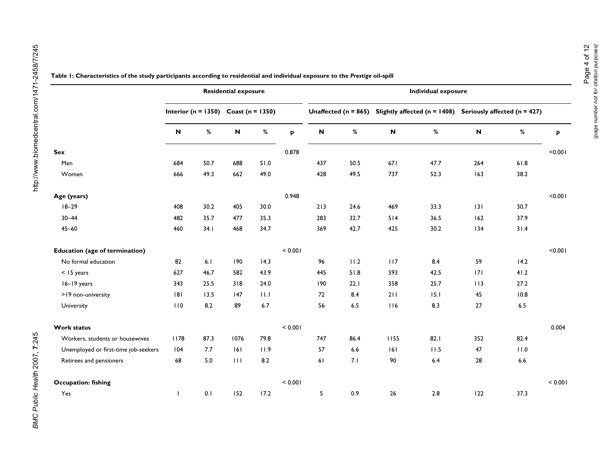|                                       |                                      |      | <b>Residential exposure</b> |      |         | <b>Individual exposure</b> |      |                                                                                            |      |     |      |         |  |
|---------------------------------------|--------------------------------------|------|-----------------------------|------|---------|----------------------------|------|--------------------------------------------------------------------------------------------|------|-----|------|---------|--|
|                                       | Interior (n = 1350) Coast (n = 1350) |      |                             |      |         |                            |      | Unaffected ( $n = 865$ ) Slightly affected ( $n = 1408$ ) Seriously affected ( $n = 427$ ) |      |     |      |         |  |
|                                       | $\boldsymbol{\mathsf{N}}$            | $\%$ | $\boldsymbol{\mathsf{N}}$   | $\%$ | p       | N                          | %    | $\boldsymbol{\mathsf{N}}$                                                                  | %    | N   | $\%$ | P       |  |
| Sex                                   |                                      |      |                             |      | 0.878   |                            |      |                                                                                            |      |     |      | < 0.001 |  |
| Men                                   | 684                                  | 50.7 | 688                         | 51.0 |         | 437                        | 50.5 | 671                                                                                        | 47.7 | 264 | 61.8 |         |  |
| Women                                 | 666                                  | 49.3 | 662                         | 49.0 |         | 428                        | 49.5 | 737                                                                                        | 52.3 | 163 | 38.2 |         |  |
| Age (years)                           |                                      |      |                             |      | 0.948   |                            |      |                                                                                            |      |     |      | < 0.001 |  |
| $18 - 29$                             | 408                                  | 30.2 | 405                         | 30.0 |         | 213                        | 24.6 | 469                                                                                        | 33.3 | 131 | 30.7 |         |  |
| $30 - 44$                             | 482                                  | 35.7 | 477                         | 35.3 |         | 283                        | 32.7 | 514                                                                                        | 36.5 | 162 | 37.9 |         |  |
| $45 - 60$                             | 460                                  | 34.1 | 468                         | 34.7 |         | 369                        | 42.7 | 425                                                                                        | 30.2 | 134 | 31.4 |         |  |
| <b>Education (age of termination)</b> |                                      |      |                             |      | < 0.001 |                            |      |                                                                                            |      |     |      | < 0.001 |  |
| No formal education                   | 82                                   | 6.1  | 190                         | 14.3 |         | 96                         | 11.2 | 117                                                                                        | 8.4  | 59  | 14.2 |         |  |
| < 15 years                            | 627                                  | 46.7 | 582                         | 43.9 |         | 445                        | 51.8 | 593                                                                                        | 42.5 | 7   | 41.2 |         |  |
| 16-19 years                           | 343                                  | 25.5 | 318                         | 24.0 |         | 190                        | 22.1 | 358                                                                                        | 25.7 | 113 | 27.2 |         |  |
| >19 non-university                    | 8                                    | 13.5 | 147                         | 11.1 |         | 72                         | 8.4  | 211                                                                                        | 15.1 | 45  | 10.8 |         |  |
| University                            | 110                                  | 8.2  | 89                          | 6.7  |         | 56                         | 6.5  | 116                                                                                        | 8.3  | 27  | 6.5  |         |  |
| <b>Work status</b>                    |                                      |      |                             |      | < 0.001 |                            |      |                                                                                            |      |     |      | 0.004   |  |
| Workers, students or housewives       | 1178                                 | 87.3 | 1076                        | 79.8 |         | 747                        | 86.4 | 1155                                                                                       | 82.1 | 352 | 82.4 |         |  |
| Unemployed or first-time job-seekers  | 104                                  | 7.7  | 6                           | 11.9 |         | 57                         | 6.6  | 6                                                                                          | 11.5 | 47  | 11.0 |         |  |
| Retirees and pensioners               | 68                                   | 5.0  | 111                         | 8.2  |         | 61                         | 7.1  | 90                                                                                         | 6.4  | 28  | 6.6  |         |  |
| <b>Occupation: fishing</b>            |                                      |      |                             |      | < 0.001 |                            |      |                                                                                            |      |     |      | < 0.001 |  |
| Yes                                   |                                      | 0.1  | 152                         | 17.2 |         | 5                          | 0.9  | 26                                                                                         | 2.8  | 122 | 37.3 |         |  |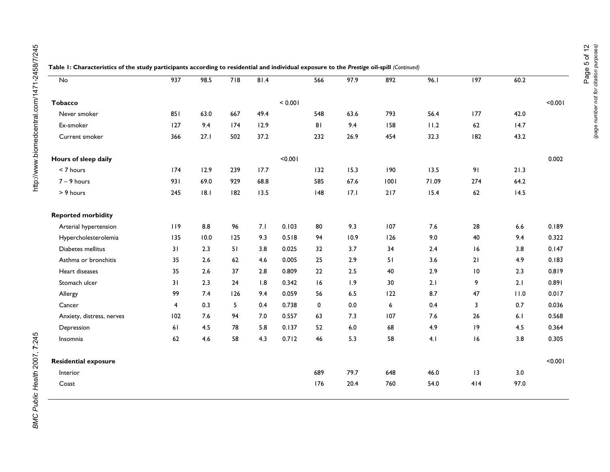| No                          | $\overline{937}$        | 98.5 | 718 | 81.4 |         | 566 | 97.9  | 892  | 96.1  | $\overline{197}$ | 60.2 |         |
|-----------------------------|-------------------------|------|-----|------|---------|-----|-------|------|-------|------------------|------|---------|
| <b>Tobacco</b>              |                         |      |     |      | < 0.001 |     |       |      |       |                  |      | < 0.001 |
| Never smoker                | 851                     | 63.0 | 667 | 49.4 |         | 548 | 63.6  | 793  | 56.4  | 177              | 42.0 |         |
| Ex-smoker                   | 127                     | 9.4  | 174 | 12.9 |         | 81  | 9.4   | 158  | 11.2  | 62               | 14.7 |         |
| Current smoker              | 366                     | 27.1 | 502 | 37.2 |         | 232 | 26.9  | 454  | 32.3  | 182              | 43.2 |         |
| Hours of sleep daily        |                         |      |     |      | < 0.001 |     |       |      |       |                  |      | 0.002   |
| < 7 hours                   | 174                     | 12.9 | 239 | 17.7 |         | 132 | 15.3  | 190  | 13.5  | 91               | 21.3 |         |
| $7 - 9$ hours               | 931                     | 69.0 | 929 | 68.8 |         | 585 | 67.6  | 1001 | 71.09 | 274              | 64.2 |         |
| > 9 hours                   | 245                     | 8.1  | 182 | 13.5 |         | 148 | 17.1  | 217  | 15.4  | 62               | 14.5 |         |
| <b>Reported morbidity</b>   |                         |      |     |      |         |     |       |      |       |                  |      |         |
| Arterial hypertension       | 119                     | 8.8  | 96  | 7.1  | 0.103   | 80  | 9.3   | 107  | 7.6   | 28               | 6.6  | 0.189   |
| Hypercholesterolemia        | 135                     | 10.0 | 125 | 9.3  | 0.518   | 94  | 10.9  | 126  | 9.0   | 40               | 9.4  | 0.322   |
| Diabetes mellitus           | 31                      | 2.3  | 51  | 3.8  | 0.025   | 32  | 3.7   | 34   | 2.4   | 16               | 3.8  | 0.147   |
| Asthma or bronchitis        | 35                      | 2.6  | 62  | 4.6  | 0.005   | 25  | 2.9   | 51   | 3.6   | 21               | 4.9  | 0.183   |
| Heart diseases              | 35                      | 2.6  | 37  | 2.8  | 0.809   | 22  | $2.5$ | 40   | 2.9   | $\,$ l $\,$      | 2.3  | 0.819   |
| Stomach ulcer               | 31                      | 2.3  | 24  | 1.8  | 0.342   | 16  | 1.9   | 30   | 2.1   | 9                | 2.1  | 0.891   |
| Allergy                     | 99                      | 7.4  | 126 | 9.4  | 0.059   | 56  | 6.5   | 122  | 8.7   | 47               | 11.0 | 0.017   |
| Cancer                      | $\overline{\mathbf{4}}$ | 0.3  | 5   | 0.4  | 0.738   | 0   | 0.0   | 6    | 0.4   | 3                | 0.7  | 0.036   |
| Anxiety, distress, nerves   | 102                     | 7.6  | 94  | 7.0  | 0.557   | 63  | 7.3   | 107  | 7.6   | 26               | 6.1  | 0.568   |
| Depression                  | 61                      | 4.5  | 78  | 5.8  | 0.137   | 52  | $6.0$ | 68   | 4.9   | 9                | 4.5  | 0.364   |
| Insomnia                    | 62                      | 4.6  | 58  | 4.3  | 0.712   | 46  | 5.3   | 58   | 4.1   | 16               | 3.8  | 0.305   |
| <b>Residential exposure</b> |                         |      |     |      |         |     |       |      |       |                  |      | < 0.001 |
| Interior                    |                         |      |     |      |         | 689 | 79.7  | 648  | 46.0  | 13               | 3.0  |         |
| Coast                       |                         |      |     |      |         | 176 | 20.4  | 760  | 54.0  | 414              | 97.0 |         |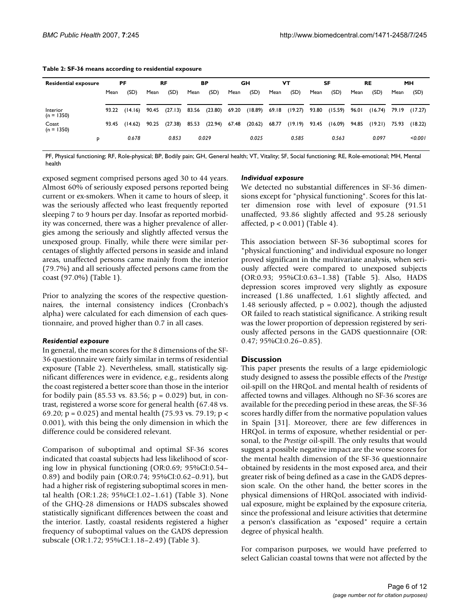| <b>Residential exposure</b> | <b>PF</b> |               |       | <b>RF</b> |       | ВP            |       | GН      |       | VT                        |       | SF            | RE    |         | <b>MH</b> |         |
|-----------------------------|-----------|---------------|-------|-----------|-------|---------------|-------|---------|-------|---------------------------|-------|---------------|-------|---------|-----------|---------|
|                             | Mean      | (SD)          | Mean  | (SD)      | Mean  | (SD)          | Mean  | (SD)    | Mean  | (SD)                      | Mean  | (SD)          | Mean  | (SD)    | Mean      | (SD)    |
| Interior                    |           | 93.22 (14.16) | 90.45 | (27.13)   |       | 83.56 (23.80) | 69.20 |         |       | $(18.89)$ 69.18 $(19.27)$ |       | 93.80 (15.59) | 96.01 | (16.74) | 79.19     | (17.27) |
| $(n = 1350)$<br>Coast       | 93.45     | (14.62)       | 90.25 | (27.38)   | 85.53 | (22.94)       | 67.48 | (20.62) | 68.77 | (19.19)                   | 93.45 | (16.09)       | 94.85 | (19.21) | 75.93     | (18.22) |
| $(n = 1350)$<br>P           |           | 0.678         |       | 0.853     |       | 0.029         |       | 0.025   |       | 0.585                     |       | 0.563         |       | 0.097   |           | < 0.001 |
|                             |           |               |       |           |       |               |       |         |       |                           |       |               |       |         |           |         |

**Table 2: SF-36 means according to residential exposure**

PF, Physical functioning; RF, Role-physical; BP, Bodily pain; GH, General health; VT, Vitality; SF, Social functioning; RE, Role-emotional; MH, Mental health

exposed segment comprised persons aged 30 to 44 years. Almost 60% of seriously exposed persons reported being current or ex-smokers. When it came to hours of sleep, it was the seriously affected who least frequently reported sleeping 7 to 9 hours per day. Insofar as reported morbidity was concerned, there was a higher prevalence of allergies among the seriously and slightly affected versus the unexposed group. Finally, while there were similar percentages of slightly affected persons in seaside and inland areas, unaffected persons came mainly from the interior (79.7%) and all seriously affected persons came from the coast (97.0%) (Table 1).

Prior to analyzing the scores of the respective questionnaires, the internal consistency indices (Cronbach's alpha) were calculated for each dimension of each questionnaire, and proved higher than 0.7 in all cases.

#### *Residential exposure*

In general, the mean scores for the 8 dimensions of the SF-36 questionnaire were fairly similar in terms of residential exposure (Table 2). Nevertheless, small, statistically significant differences were in evidence, e.g., residents along the coast registered a better score than those in the interior for bodily pain (85.53 vs. 83.56;  $p = 0.029$ ) but, in contrast, registered a worse score for general health (67.48 vs. 69.20;  $p = 0.025$ ) and mental health (75.93 vs. 79.19;  $p <$ 0.001), with this being the only dimension in which the difference could be considered relevant.

Comparison of suboptimal and optimal SF-36 scores indicated that coastal subjects had less likelihood of scoring low in physical functioning (OR:0.69; 95%CI:0.54– 0.89) and bodily pain (OR:0.74; 95%CI:0.62–0.91), but had a higher risk of registering suboptimal scores in mental health (OR:1.28; 95%CI:1.02–1.61) (Table 3). None of the GHQ-28 dimensions or HADS subscales showed statistically significant differences between the coast and the interior. Lastly, coastal residents registered a higher frequency of suboptimal values on the GADS depression subscale (OR:1.72; 95%CI:1.18–2.49) (Table 3).

#### *Individual exposure*

We detected no substantial differences in SF-36 dimensions except for "physical functioning". Scores for this latter dimension rose with level of exposure (91.51 unaffected, 93.86 slightly affected and 95.28 seriously affected, p < 0.001) (Table 4).

This association between SF-36 suboptimal scores for "physical functioning" and individual exposure no longer proved significant in the multivariate analysis, when seriously affected were compared to unexposed subjects (OR:0.93; 95%CI:0.63–1.38) (Table 5). Also, HADS depression scores improved very slightly as exposure increased (1.86 unaffected, 1.61 slightly affected, and 1.48 seriously affected,  $p = 0.002$ ), though the adjusted OR failed to reach statistical significance. A striking result was the lower proportion of depression registered by seriously affected persons in the GADS questionnaire (OR: 0.47; 95%CI:0.26–0.85).

#### **Discussion**

This paper presents the results of a large epidemiologic study designed to assess the possible effects of the *Prestige* oil-spill on the HRQoL and mental health of residents of affected towns and villages. Although no SF-36 scores are available for the preceding period in these areas, the SF-36 scores hardly differ from the normative population values in Spain [31]. Moreover, there are few differences in HRQoL in terms of exposure, whether residential or personal, to the *Prestige* oil-spill. The only results that would suggest a possible negative impact are the worse scores for the mental health dimension of the SF-36 questionnaire obtained by residents in the most exposed area, and their greater risk of being defined as a case in the GADS depression scale. On the other hand, the better scores in the physical dimensions of HRQoL associated with individual exposure, might be explained by the exposure criteria, since the professional and leisure activities that determine a person's classification as "exposed" require a certain degree of physical health.

For comparison purposes, we would have preferred to select Galician coastal towns that were not affected by the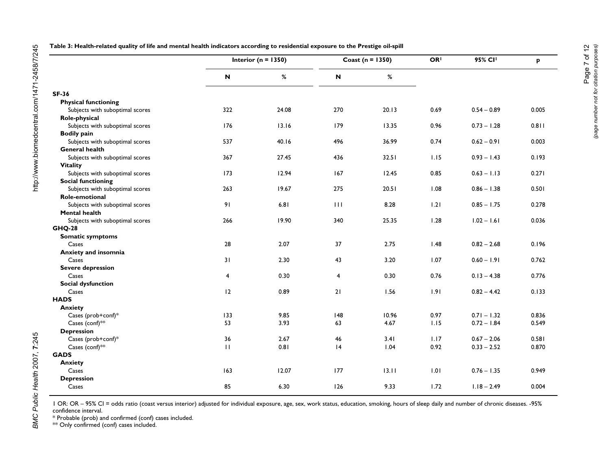| Table 3: Health-related quality of life and mental health indicators according to residential exposure to the Prestige oil-spill |  |  |  |
|----------------------------------------------------------------------------------------------------------------------------------|--|--|--|
|                                                                                                                                  |  |  |  |

|                                 | Interior ( $n = 1350$ )   |       |     | Coast ( $n = 1350$ ) | OR <sup>I</sup> | 95% CI <sup>I</sup> | p     |
|---------------------------------|---------------------------|-------|-----|----------------------|-----------------|---------------------|-------|
|                                 | $\boldsymbol{\mathsf{N}}$ | %     | N   | %                    |                 |                     |       |
| <b>SF-36</b>                    |                           |       |     |                      |                 |                     |       |
| <b>Physical functioning</b>     |                           |       |     |                      |                 |                     |       |
| Subjects with suboptimal scores | 322                       | 24.08 | 270 | 20.13                | 0.69            | $0.54 - 0.89$       | 0.005 |
| Role-physical                   |                           |       |     |                      |                 |                     |       |
| Subjects with suboptimal scores | 176                       | 13.16 | 179 | 13.35                | 0.96            | $0.73 - 1.28$       | 0.811 |
| <b>Bodily pain</b>              |                           |       |     |                      |                 |                     |       |
| Subjects with suboptimal scores | 537                       | 40.16 | 496 | 36.99                | 0.74            | $0.62 - 0.91$       | 0.003 |
| <b>General health</b>           |                           |       |     |                      |                 |                     |       |
| Subjects with suboptimal scores | 367                       | 27.45 | 436 | 32.51                | 1.15            | $0.93 - 1.43$       | 0.193 |
| <b>Vitality</b>                 |                           |       |     |                      |                 |                     |       |
| Subjects with suboptimal scores | 173                       | 12.94 | 167 | 12.45                | 0.85            | $0.63 - 1.13$       | 0.271 |
| <b>Social functioning</b>       |                           |       |     |                      |                 |                     |       |
| Subjects with suboptimal scores | 263                       | 19.67 | 275 | 20.51                | 1.08            | $0.86 - 1.38$       | 0.501 |
| Role-emotional                  |                           |       |     |                      |                 |                     |       |
| Subjects with suboptimal scores | 91                        | 6.81  | 111 | 8.28                 | 1.21            | $0.85 - 1.75$       | 0.278 |
| <b>Mental health</b>            |                           |       |     |                      |                 |                     |       |
| Subjects with suboptimal scores | 266                       | 19.90 | 340 | 25.35                | 1.28            | $1.02 - 1.61$       | 0.036 |
| <b>GHQ-28</b>                   |                           |       |     |                      |                 |                     |       |
| <b>Somatic symptoms</b>         |                           |       |     |                      |                 |                     |       |
| Cases                           | 28                        | 2.07  | 37  | 2.75                 | 1.48            | $0.82 - 2.68$       | 0.196 |
| Anxiety and insomnia            |                           |       |     |                      |                 |                     |       |
| Cases                           | 31                        | 2.30  | 43  | 3.20                 | 1.07            | $0.60 - 1.91$       | 0.762 |
| <b>Severe depression</b>        |                           |       |     |                      |                 |                     |       |
| Cases                           | $\overline{4}$            | 0.30  | 4   | 0.30                 | 0.76            | $0.13 - 4.38$       | 0.776 |
| <b>Social dysfunction</b>       |                           |       |     |                      |                 |                     |       |
| Cases                           | 12                        | 0.89  | 21  | 1.56                 | 1.91            | $0.82 - 4.42$       | 0.133 |
| <b>HADS</b>                     |                           |       |     |                      |                 |                     |       |
| <b>Anxiety</b>                  |                           |       |     |                      |                 |                     |       |
| Cases (prob+conf)*              | 133                       | 9.85  | 148 | 10.96                | 0.97            | $0.71 - 1.32$       | 0.836 |
| Cases (conf)**                  | 53                        | 3.93  | 63  | 4.67                 | 1.15            | $0.72 - 1.84$       | 0.549 |
| <b>Depression</b>               |                           |       |     |                      |                 |                     |       |
| Cases (prob+conf)*              | 36                        | 2.67  | 46  | 3.41                 | 1.17            | $0.67 - 2.06$       | 0.581 |
| Cases (conf)**                  | $\mathbf{H}$              | 0.81  | 4   | 1.04                 | 0.92            | $0.33 - 2.52$       | 0.870 |
| <b>GADS</b>                     |                           |       |     |                      |                 |                     |       |
| <b>Anxiety</b>                  |                           |       |     |                      |                 |                     |       |
| Cases                           | 163                       | 12.07 | 177 | 13.11                | 1.01            | $0.76 - 1.35$       | 0.949 |
| <b>Depression</b>               |                           |       |     |                      |                 |                     |       |
| Cases                           | 85                        | 6.30  | 126 | 9.33                 | 1.72            | $1.18 - 2.49$       | 0.004 |

BMC Public Health 2007, 7:245

1 OR: OR – 95% CI = odds ratio (coast versus interior) adjusted for individual exposure, age, sex, work status, education, smoking, hours of sleep daily and number of chronic diseases. -95% confidence interval.

\* Probable (prob) and confirmed (conf) cases included.

 $^{**}$  Only confirmed (conf) cases included.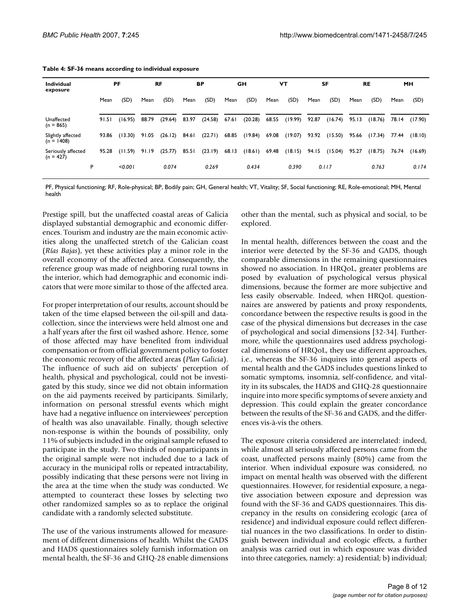| <b>Individual</b><br>exposure     |   |       | PF<br><b>RF</b> |       | BP      |       |         | GH    |         | VΤ    |         | <b>SF</b> |         | <b>RE</b> |         | <b>MH</b> |         |
|-----------------------------------|---|-------|-----------------|-------|---------|-------|---------|-------|---------|-------|---------|-----------|---------|-----------|---------|-----------|---------|
|                                   |   | Mean  | (SD)            | Mean  | (SD)    | Mean  | (SD)    | Mean  | (SD)    | Mean  | (SD)    | Mean      | (SD)    | Mean      | (SD)    | Mean      | (SD)    |
|                                   |   |       |                 |       |         |       |         |       |         |       |         |           |         |           |         |           |         |
| Unaffected<br>$(n = 865)$         |   | 91.51 | (16.95)         | 88.79 | (29.64) | 83.97 | (24.58) | 67.61 | (20.28) | 68.55 | (19.99) | 92.87     | (16.74) | 95.13     | (18.76) | 78.14     | (17.90) |
| Slightly affected<br>$(n = 1408)$ |   | 93.86 | (13.30)         | 91.05 | (26.12) | 84.61 | (22.71) | 68.85 | (19.84) | 69.08 | (19.07) | 93.92     | (15.50) | 95.66     | (17.34) | 77.44     | (18.10) |
| Seriously affected<br>$(n = 427)$ |   | 95.28 | (11.59)         | 91.19 | (25.77) | 85.51 | (23.19) | 68.13 | (18.61) | 69.48 | (18.15) | 94.15     | (15.04) | 95.27     | (18.75) | 76.74     | (16.69) |
|                                   | P |       | < 0.001         |       | 0.074   |       | 0.269   |       | 0.434   |       | 0.390   |           | 0.117   |           | 0.763   |           | 0.174   |

**Table 4: SF-36 means according to individual exposure**

PF, Physical functioning; RF, Role-physical; BP, Bodily pain; GH, General health; VT, Vitality; SF, Social functioning; RE, Role-emotional; MH, Mental health

Prestige spill, but the unaffected coastal areas of Galicia displayed substantial demographic and economic differences. Tourism and industry are the main economic activities along the unaffected stretch of the Galician coast (*Rías Bajas*), yet these activities play a minor role in the overall economy of the affected area. Consequently, the reference group was made of neighboring rural towns in the interior, which had demographic and economic indicators that were more similar to those of the affected area.

For proper interpretation of our results, account should be taken of the time elapsed between the oil-spill and datacollection, since the interviews were held almost one and a half years after the first oil washed ashore. Hence, some of those affected may have benefited from individual compensation or from official government policy to foster the economic recovery of the affected areas (*Plan Galicia*). The influence of such aid on subjects' perception of health, physical and psychological, could not be investigated by this study, since we did not obtain information on the aid payments received by participants. Similarly, information on personal stressful events which might have had a negative influence on interviewees' perception of health was also unavailable. Finally, though selective non-response is within the bounds of possibility, only 11% of subjects included in the original sample refused to participate in the study. Two thirds of nonparticipants in the original sample were not included due to a lack of accuracy in the municipal rolls or repeated intractability, possibly indicating that these persons were not living in the area at the time when the study was conducted. We attempted to counteract these losses by selecting two other randomized samples so as to replace the original candidate with a randomly selected substitute.

The use of the various instruments allowed for measurement of different dimensions of health. Whilst the GADS and HADS questionnaires solely furnish information on mental health, the SF-36 and GHQ-28 enable dimensions

other than the mental, such as physical and social, to be explored.

In mental health, differences between the coast and the interior were detected by the SF-36 and GADS, though comparable dimensions in the remaining questionnaires showed no association. In HRQoL, greater problems are posed by evaluation of psychological versus physical dimensions, because the former are more subjective and less easily observable. Indeed, when HRQoL questionnaires are answered by patients and proxy respondents, concordance between the respective results is good in the case of the physical dimensions but decreases in the case of psychological and social dimensions [32-34]. Furthermore, while the questionnaires used address psychological dimensions of HRQoL, they use different approaches, i.e., whereas the SF-36 inquires into general aspects of mental health and the GADS includes questions linked to somatic symptoms, insomnia, self-confidence, and vitality in its subscales, the HADS and GHQ-28 questionnaire inquire into more specific symptoms of severe anxiety and depression. This could explain the greater concordance between the results of the SF-36 and GADS, and the differences vis-à-vis the others.

The exposure criteria considered are interrelated: indeed, while almost all seriously affected persons came from the coast, unaffected persons mainly (80%) came from the interior. When individual exposure was considered, no impact on mental health was observed with the different questionnaires. However, for residential exposure, a negative association between exposure and depression was found with the SF-36 and GADS questionnaires. This discrepancy in the results on considering ecologic (area of residence) and individual exposure could reflect differential nuances in the two classifications. In order to distinguish between individual and ecologic effects, a further analysis was carried out in which exposure was divided into three categories, namely: a) residential; b) individual;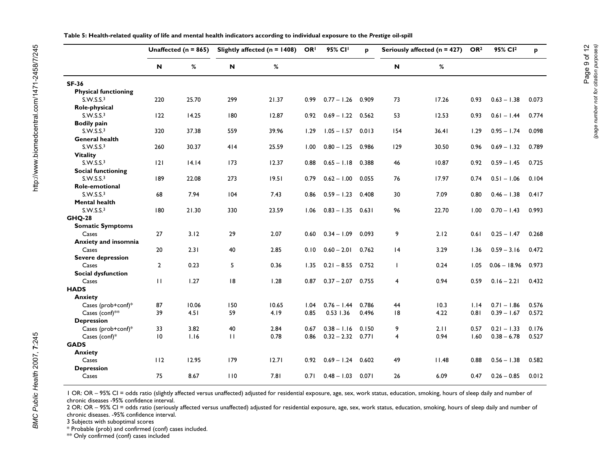|  |  |  | Table 5: Health-related quality of life and mental health indicators according to individual exposure to the Prestige oil-spill |
|--|--|--|---------------------------------------------------------------------------------------------------------------------------------|
|--|--|--|---------------------------------------------------------------------------------------------------------------------------------|

|                             |                | Unaffected ( $n = 865$ ) |              | Slightly affected ( $n = 1408$ ) | OR <sup>I</sup> | 95% CI <sup>I</sup> | p     |                | Seriously affected (n = 427) | OR <sub>2</sub> | 95% CI <sup>2</sup> | P     |
|-----------------------------|----------------|--------------------------|--------------|----------------------------------|-----------------|---------------------|-------|----------------|------------------------------|-----------------|---------------------|-------|
|                             | N              | %                        | N            | %                                |                 |                     |       | N              | %                            |                 |                     |       |
| <b>SF-36</b>                |                |                          |              |                                  |                 |                     |       |                |                              |                 |                     |       |
| <b>Physical functioning</b> |                |                          |              |                                  |                 |                     |       |                |                              |                 |                     |       |
| S.W.S.S. <sup>3</sup>       | 220            | 25.70                    | 299          | 21.37                            | 0.99            | $0.77 - 1.26$       | 0.909 | 73             | 17.26                        | 0.93            | $0.63 - 1.38$       | 0.073 |
| Role-physical               |                |                          |              |                                  |                 |                     |       |                |                              |                 |                     |       |
| S.W.S.S. <sub>3</sub>       | 122            | 14.25                    | 180          | 12.87                            | 0.92            | $0.69 - 1.22$       | 0.562 | 53             | 12.53                        | 0.93            | $0.61 - 1.44$       | 0.774 |
| <b>Bodily pain</b>          |                |                          |              |                                  |                 |                     |       |                |                              |                 |                     |       |
| S.W.S.S. <sup>3</sup>       | 320            | 37.38                    | 559          | 39.96                            | 1.29            | $1.05 - 1.57$       | 0.013 | 154            | 36.41                        | 1.29            | $0.95 - 1.74$       | 0.098 |
| General health              |                |                          |              |                                  |                 |                     |       |                |                              |                 |                     |       |
| S.W.S.S. <sup>3</sup>       | 260            | 30.37                    | 414          | 25.59                            | 1.00            | $0.80 - 1.25$       | 0.986 | 129            | 30.50                        | 0.96            | $0.69 - 1.32$       | 0.789 |
| <b>Vitality</b>             |                |                          |              |                                  |                 |                     |       |                |                              |                 |                     |       |
| S.W.S.S. <sub>3</sub>       | 2              | 14.14                    | 173          | 12.37                            | 0.88            | $0.65 - 1.18$       | 0.388 | 46             | 10.87                        | 0.92            | $0.59 - 1.45$       | 0.725 |
| <b>Social functioning</b>   |                |                          |              |                                  |                 |                     |       |                |                              |                 |                     |       |
| S.W.S.S. <sup>3</sup>       | 189            | 22.08                    | 273          | 19.51                            | 0.79            | $0.62 - 1.00$       | 0.055 | 76             | 17.97                        | 0.74            | $0.51 - 1.06$       | 0.104 |
| Role-emotional              |                |                          |              |                                  |                 |                     |       |                |                              |                 |                     |       |
| S.W.S.S. <sup>3</sup>       | 68             | 7.94                     | 104          | 7.43                             | 0.86            | $0.59 - 1.23$       | 0.408 | 30             | 7.09                         | 0.80            | $0.46 - 1.38$       | 0.417 |
| <b>Mental health</b>        |                |                          |              |                                  |                 |                     |       |                |                              |                 |                     |       |
| S.W.S.S. <sup>3</sup>       | 180            | 21.30                    | 330          | 23.59                            | 1.06            | $0.83 - 1.35$       | 0.631 | 96             | 22.70                        | 1.00            | $0.70 - 1.43$       | 0.993 |
| <b>GHQ-28</b>               |                |                          |              |                                  |                 |                     |       |                |                              |                 |                     |       |
| <b>Somatic Symptoms</b>     |                |                          |              |                                  |                 |                     |       |                |                              |                 |                     |       |
| Cases                       | 27             | 3.12                     | 29           | 2.07                             | 0.60            | $0.34 - 1.09$       | 0.093 | 9              | 2.12                         | 0.61            | $0.25 - 1.47$       | 0.268 |
| <b>Anxiety and insomnia</b> |                |                          |              |                                  |                 |                     |       |                |                              |                 |                     |       |
| Cases                       | 20             | 2.31                     | 40           | 2.85                             | 0.10            | $0.60 - 2.01$       | 0.762 | 4              | 3.29                         | 1.36            | $0.59 - 3.16$       | 0.472 |
| <b>Severe depression</b>    | $\overline{2}$ | 0.23                     | 5            | 0.36                             |                 | $0.21 - 8.55$       | 0.752 | $\mathbf{I}$   | 0.24                         |                 | $0.06 - 18.96$      | 0.973 |
| Cases                       |                |                          |              |                                  | 1.35            |                     |       |                |                              | 1.05            |                     |       |
| Social dysfunction<br>Cases | $\mathbf{H}$   | 1.27                     | 8            | 1.28                             | 0.87            | $0.37 - 2.07$       | 0.755 | $\overline{4}$ | 0.94                         | 0.59            | $0.16 - 2.21$       | 0.432 |
| <b>HADS</b>                 |                |                          |              |                                  |                 |                     |       |                |                              |                 |                     |       |
| <b>Anxiety</b>              |                |                          |              |                                  |                 |                     |       |                |                              |                 |                     |       |
| Cases (prob+conf)*          | 87             | 10.06                    | 150          | 10.65                            | 1.04            | $0.76 - 1.44$       | 0.786 | 44             | 10.3                         | 1.14            | $0.71 - 1.86$       | 0.576 |
| Cases (conf)**              | 39             | 4.51                     | 59           | 4.19                             | 0.85            | $0.53$ 1.36         | 0.496 | 18             | 4.22                         | 0.81            | $0.39 - 1.67$       | 0.572 |
| <b>Depression</b>           |                |                          |              |                                  |                 |                     |       |                |                              |                 |                     |       |
| Cases (prob+conf)*          | 33             | 3.82                     | 40           | 2.84                             | 0.67            | $0.38 - 1.16$       | 0.150 | 9              | 2.11                         | 0.57            | $0.21 - 1.33$       | 0.176 |
| Cases (conf) $*$            | 10             | 1.16                     | $\mathbf{H}$ | 0.78                             | 0.86            | $0.32 - 2.32$       | 0.771 | 4              | 0.94                         | 1.60            | $0.38 - 6.78$       | 0.527 |
| <b>GADS</b>                 |                |                          |              |                                  |                 |                     |       |                |                              |                 |                     |       |
| <b>Anxiety</b>              |                |                          |              |                                  |                 |                     |       |                |                              |                 |                     |       |
| Cases                       | 112            | 12.95                    | 179          | 12.71                            | 0.92            | $0.69 - 1.24$       | 0.602 | 49             | 11.48                        | 0.88            | $0.56 - 1.38$       | 0.582 |
| <b>Depression</b>           |                |                          |              |                                  |                 |                     |       |                |                              |                 |                     |       |
| Cases                       | 75             | 8.67                     | 110          | 7.81                             | 0.71            | $0.48 - 1.03$       | 0.071 | 26             | 6.09                         | 0.47            | $0.26 - 0.85$       | 0.012 |

1 OR: OR – 95% CI = odds ratio (slightly affected versus unaffected) adjusted for residential exposure, age, sex, work status, education, smoking, hours of sleep daily and number of chronic diseases -95% confidence interval.

2 OR: OR - 95% CI = odds ratio (seriously affected versus unaffected) adjusted for residential exposure, age, sex, work status, education, smoking, hours of sleep daily and number of chronic diseases. -95% confidence interval.

3 Subjects with suboptimal scores

\* Probable (prob) and confirmed (conf) cases included.

\*\* Only confirmed (conf) cases included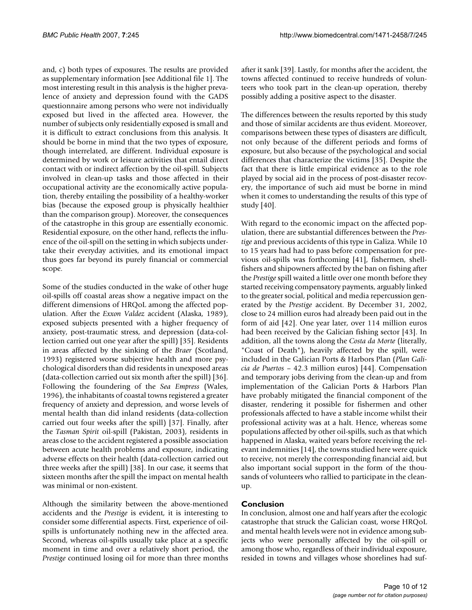and, c) both types of exposures. The results are provided as supplementary information [see Additional file 1]. The most interesting result in this analysis is the higher prevalence of anxiety and depression found with the GADS questionnaire among persons who were not individually exposed but lived in the affected area. However, the number of subjects only residentially exposed is small and it is difficult to extract conclusions from this analysis. It should be borne in mind that the two types of exposure, though interrelated, are different. Individual exposure is determined by work or leisure activities that entail direct contact with or indirect affection by the oil-spill. Subjects involved in clean-up tasks and those affected in their occupational activity are the economically active population, thereby entailing the possibility of a healthy-worker bias (because the exposed group is physically healthier than the comparison group). Moreover, the consequences of the catastrophe in this group are essentially economic. Residential exposure, on the other hand, reflects the influence of the oil-spill on the setting in which subjects undertake their everyday activities, and its emotional impact thus goes far beyond its purely financial or commercial scope.

Some of the studies conducted in the wake of other huge oil-spills off coastal areas show a negative impact on the different dimensions of HRQoL among the affected population. After the *Exxon Valdez* accident (Alaska, 1989), exposed subjects presented with a higher frequency of anxiety, post-traumatic stress, and depression (data-collection carried out one year after the spill) [35]. Residents in areas affected by the sinking of the *Braer* (Scotland, 1993) registered worse subjective health and more psychological disorders than did residents in unexposed areas (data-collection carried out six month after the spill) [36]. Following the foundering of the *Sea Empress* (Wales, 1996), the inhabitants of coastal towns registered a greater frequency of anxiety and depression, and worse levels of mental health than did inland residents (data-collection carried out four weeks after the spill) [37]. Finally, after the *Tasman Spirit* oil-spill (Pakistan, 2003), residents in areas close to the accident registered a possible association between acute health problems and exposure, indicating adverse effects on their health (data-collection carried out three weeks after the spill) [38]. In our case, it seems that sixteen months after the spill the impact on mental health was minimal or non-existent.

Although the similarity between the above-mentioned accidents and the *Prestige* is evident, it is interesting to consider some differential aspects. First, experience of oilspills is unfortunately nothing new in the affected area. Second, whereas oil-spills usually take place at a specific moment in time and over a relatively short period, the *Prestige* continued losing oil for more than three months

after it sank [39]. Lastly, for months after the accident, the towns affected continued to receive hundreds of volunteers who took part in the clean-up operation, thereby possibly adding a positive aspect to the disaster.

The differences between the results reported by this study and those of similar accidents are thus evident. Moreover, comparisons between these types of disasters are difficult, not only because of the different periods and forms of exposure, but also because of the psychological and social differences that characterize the victims [35]. Despite the fact that there is little empirical evidence as to the role played by social aid in the process of post-disaster recovery, the importance of such aid must be borne in mind when it comes to understanding the results of this type of study [40].

With regard to the economic impact on the affected population, there are substantial differences between the *Prestige* and previous accidents of this type in Galiza. While 10 to 15 years had had to pass before compensation for previous oil-spills was forthcoming [41], fishermen, shellfishers and shipowners affected by the ban on fishing after the *Prestige* spill waited a little over one month before they started receiving compensatory payments, arguably linked to the greater social, political and media repercussion generated by the *Prestige* accident. By December 31, 2002, close to 24 million euros had already been paid out in the form of aid [42]. One year later, over 114 million euros had been received by the Galician fishing sector [43]. In addition, all the towns along the *Costa da Morte* (literally, "Coast of Death"), heavily affected by the spill, were included in the Galician Ports & Harbors Plan (*Plan Galicia de Puertos* – 42.3 million euros) [44]. Compensation and temporary jobs deriving from the clean-up and from implementation of the Galician Ports & Harbors Plan have probably mitigated the financial component of the disaster, rendering it possible for fishermen and other professionals affected to have a stable income whilst their professional activity was at a halt. Hence, whereas some populations affected by other oil-spills, such as that which happened in Alaska, waited years before receiving the relevant indemnities [14], the towns studied here were quick to receive, not merely the corresponding financial aid, but also important social support in the form of the thousands of volunteers who rallied to participate in the cleanup.

# **Conclusion**

In conclusion, almost one and half years after the ecologic catastrophe that struck the Galician coast, worse HRQoL and mental health levels were not in evidence among subjects who were personally affected by the oil-spill or among those who, regardless of their individual exposure, resided in towns and villages whose shorelines had suf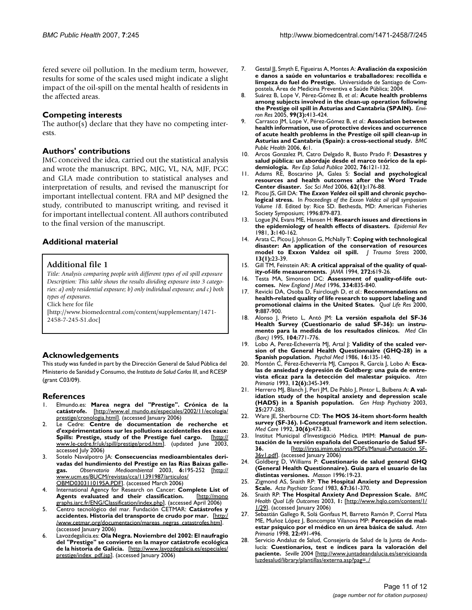fered severe oil pollution. In the medium term, however, results for some of the scales used might indicate a slight impact of the oil-spill on the mental health of residents in the affected areas.

#### **Competing interests**

The author(s) declare that they have no competing interests.

#### **Authors' contributions**

JMC conceived the idea, carried out the statistical analysis and wrote the manuscript. BPG, MJG, VL, NA, MJF, PGC and GLA made contribution to statistical analyses and interpretation of results, and revised the manuscript for important intellectual content. FRA and MP designed the study, contributed to manuscript writing, and revised it for important intellectual content. All authors contributed to the final version of the manuscript.

# **Additional material**

#### **Additional file 1**

*Title: Analysis comparing people with different types of oil spill exposure Description: This table shows the results dividing exposure into 3 categories: a) only residential exposure; b) only individual exposure; and c) both types of exposures.*

Click here for file

[\[http://www.biomedcentral.com/content/supplementary/1471-](http://www.biomedcentral.com/content/supplementary/1471-2458-7-245-S1.doc) 2458-7-245-S1.doc]

#### **Acknowledgements**

This study was funded in part by the Dirección General de Salud Pública del Ministerio de Sanidad y Consumo, the *Instituto de Salud Carlos III*, and RCESP (grant C03/09).

#### **References**

- 1. Elmundo.es: **Marea negra del "Prestige". Crónica de la catástrofe.** [[http://www.el mundo.es/especiales/2002/11/ecologia/](http://www.el mundo.es/especiales/2002/11/ecologia/prestige/cronologia.html) [prestige/cronologia.html\]](http://www.el mundo.es/especiales/2002/11/ecologia/prestige/cronologia.html). (accessed January 2006)
- 2. Le Cedre: **Centre de documentation de recherche et d'expérimentations sur les pollutions accidentelles des eaux: Spills: Prestige, study of the Prestige fuel cargo.** [[http://](http://www.le-cedre.fr/uk/spill/prestige/prod.htm) [www.le-cedre.fr/uk/spill/prestige/prod.htm\]](http://www.le-cedre.fr/uk/spill/prestige/prod.htm). (updated June 2003, accessed July 2006)
- 3. Sotelo Navalpotro JA: **Consecuencias medioambientales derivadas del hundimiento del Prestige en las Rías Baixas gallegas.** *Observatorio Medioambiental* 2003, **6:**195-252 [[http://](http://www.ucm.es/BUCM/revistas/cca/11391987/articulos/OBMD0303110195A.PDF) [www.ucm.es/BUCM/revistas/cca/11391987/articulos/](http://www.ucm.es/BUCM/revistas/cca/11391987/articulos/OBMD0303110195A.PDF) [OBMD0303110195A.PDF](http://www.ucm.es/BUCM/revistas/cca/11391987/articulos/OBMD0303110195A.PDF)]. (accessed March 2006)
- 4. International Agency for Research on Cancer: **Complete List of** Agents evaluated and their classification. [graphs.iarc.fr/ENG/Classification/index.php](http://monographs.iarc.fr/ENG/Classification/index.php)]. (accessed April 2006)
- 5. Centro tecnológico del mar. Fundación CETMAR: **Catástrofes y accidentes. Historia del transporte de crudo por mar.** [[http:/](http://www.cetmar.org/documentacion/mareas_negras_catastrofes.htm) [/www.cetmar.org/documentacion/mareas\\_negras\\_catastrofes.htm\]](http://www.cetmar.org/documentacion/mareas_negras_catastrofes.htm). (accessed January 2006)
- 6. Lavozdegalicia.es: **Ola Negra. Noviembre del 2002: El naufragio del "Prestige" se convierte en la mayor catástrofe ecológica de la historia de Galicia.** [\[http://www.lavozdegalicia.es/especiales/](http://www.lavozdegalicia.es/especiales/prestige/index_pdf.jsp) [prestige/index\\_pdf.jsp](http://www.lavozdegalicia.es/especiales/prestige/index_pdf.jsp)]. (accessed January 2006)
- 7. Gestal JJ, Smyth E, Figueiras A, Montes A: **Avaliación da exposición e danos a saúde en voluntarios e traballadores: recollida e limpeza do fuel do Prestige.** Universidade de Santiago de Compostela, Área de Medicina Preventiva e Saúde Pública; 2004.
- 8. Suárez B, Lope V, Pérez-Gómez B, *et al.*: **[Acute health problems](http://www.ncbi.nlm.nih.gov/entrez/query.fcgi?cmd=Retrieve&db=PubMed&dopt=Abstract&list_uids=16307984) [among subjects involved in the clean-up operation following](http://www.ncbi.nlm.nih.gov/entrez/query.fcgi?cmd=Retrieve&db=PubMed&dopt=Abstract&list_uids=16307984) [the Prestige oil spill in Asturias and Cantabria \(SPAIN\).](http://www.ncbi.nlm.nih.gov/entrez/query.fcgi?cmd=Retrieve&db=PubMed&dopt=Abstract&list_uids=16307984)** *Environ Res* 2005, **99(3):**413-424.
- 9. Carrasco JM, Lope V, Pérez-Gómez B, *et al.*: **[Association between](http://www.ncbi.nlm.nih.gov/entrez/query.fcgi?cmd=Retrieve&db=PubMed&dopt=Abstract&list_uids=16390547) health information, use of protective devices and occurrence [of acute health problems in the Prestige oil spill clean-up in](http://www.ncbi.nlm.nih.gov/entrez/query.fcgi?cmd=Retrieve&db=PubMed&dopt=Abstract&list_uids=16390547) [Asturias and Cantabria \(Spain\): a cross-sectional study.](http://www.ncbi.nlm.nih.gov/entrez/query.fcgi?cmd=Retrieve&db=PubMed&dopt=Abstract&list_uids=16390547)** *BMC Public Health* 2006, **6:**1.
- 10. Arcos Gonzalez PI, Catro Delgado R, Busto Prado F: **[Desastres y](http://www.ncbi.nlm.nih.gov/entrez/query.fcgi?cmd=Retrieve&db=PubMed&dopt=Abstract&list_uids=12025262) [salud pública: un abordaje desde el marco teórico de la epi](http://www.ncbi.nlm.nih.gov/entrez/query.fcgi?cmd=Retrieve&db=PubMed&dopt=Abstract&list_uids=12025262)[demiología.](http://www.ncbi.nlm.nih.gov/entrez/query.fcgi?cmd=Retrieve&db=PubMed&dopt=Abstract&list_uids=12025262)** *Rev Esp Salud Publica* 2002, **76:**121-132.
- 11. Adams RE, Boscarino JA, Galea S: **[Social and psychological](http://www.ncbi.nlm.nih.gov/entrez/query.fcgi?cmd=Retrieve&db=PubMed&dopt=Abstract&list_uids=16002196) [resources and health outcomes after the Word Trade](http://www.ncbi.nlm.nih.gov/entrez/query.fcgi?cmd=Retrieve&db=PubMed&dopt=Abstract&list_uids=16002196) [Center disaster.](http://www.ncbi.nlm.nih.gov/entrez/query.fcgi?cmd=Retrieve&db=PubMed&dopt=Abstract&list_uids=16002196)** *Soc Sci Med* 2006, **62(1):**176-88.
- 12. Picou JS, Gill DA: **The** *Exxon Valdez* **oil spill and chronic psychological stress.** In *Proceedings of the Exxon Valdez oil spill symposium Volume 18*. Edited by: Rice SD. Bethesda, MD: American Fisheries Society Symposium; 1996:879-873.
- 13. Logue JN, Evans ME, Hansen H: **[Research issues and directions in](http://www.ncbi.nlm.nih.gov/entrez/query.fcgi?cmd=Retrieve&db=PubMed&dopt=Abstract&list_uids=7030759) [the epidemiology of health effects of disasters.](http://www.ncbi.nlm.nih.gov/entrez/query.fcgi?cmd=Retrieve&db=PubMed&dopt=Abstract&list_uids=7030759)** *Epidemiol Rev* 1981, **3:**140-162.
- 14. Arata C, Picou J, Johnson G, McNally T: **[Coping with technological](http://www.ncbi.nlm.nih.gov/entrez/query.fcgi?cmd=Retrieve&db=PubMed&dopt=Abstract&list_uids=10761172) [disaster: An application of the conservation of resources](http://www.ncbi.nlm.nih.gov/entrez/query.fcgi?cmd=Retrieve&db=PubMed&dopt=Abstract&list_uids=10761172) [model to Exxon Valdez oil spill.](http://www.ncbi.nlm.nih.gov/entrez/query.fcgi?cmd=Retrieve&db=PubMed&dopt=Abstract&list_uids=10761172)** *J Trauma Stress* 2000, **13(1):**23-39.
- 15. Gill TM, Feinstein AR: **[A critical appraisal of the quality of qual](http://www.ncbi.nlm.nih.gov/entrez/query.fcgi?cmd=Retrieve&db=PubMed&dopt=Abstract&list_uids=7726894)[ity-of-life measurements.](http://www.ncbi.nlm.nih.gov/entrez/query.fcgi?cmd=Retrieve&db=PubMed&dopt=Abstract&list_uids=7726894)** *JAMA* 1994, **272:**619-26.
- 16. Testa MA, Simonson DC: **Assessment of quality-of-life outcomes.** *New England J Med* 1996, **334:**835-840.
- 17. Revicki DA, Osoba D, Fairclough D, *et al.*: **[Recommendations on](http://www.ncbi.nlm.nih.gov/entrez/query.fcgi?cmd=Retrieve&db=PubMed&dopt=Abstract&list_uids=11284208) [health-related quality of life research to support labeling and](http://www.ncbi.nlm.nih.gov/entrez/query.fcgi?cmd=Retrieve&db=PubMed&dopt=Abstract&list_uids=11284208) [promotional claims in the United States.](http://www.ncbi.nlm.nih.gov/entrez/query.fcgi?cmd=Retrieve&db=PubMed&dopt=Abstract&list_uids=11284208)** *Qual Life Res* 2000, **9:**887-900.
- 18. Alonso J, Prieto L, Antó JM: **[La versión española del SF-36](http://www.ncbi.nlm.nih.gov/entrez/query.fcgi?cmd=Retrieve&db=PubMed&dopt=Abstract&list_uids=7783470) [Health Survey \(Cuestionario de salud SF-36\): un instru](http://www.ncbi.nlm.nih.gov/entrez/query.fcgi?cmd=Retrieve&db=PubMed&dopt=Abstract&list_uids=7783470)[mento para la medida de los resultados clínicos.](http://www.ncbi.nlm.nih.gov/entrez/query.fcgi?cmd=Retrieve&db=PubMed&dopt=Abstract&list_uids=7783470)** *Med Clin (Barc)* 1995, **104:**771-776.
- 19. Lobo A, Perez-Echeverría MJ, Artal J: **[Validity of the scaled ver](http://www.ncbi.nlm.nih.gov/entrez/query.fcgi?cmd=Retrieve&db=PubMed&dopt=Abstract&list_uids=3961039)[sion of the General Health Questionnaire \(GHQ-28\) in a](http://www.ncbi.nlm.nih.gov/entrez/query.fcgi?cmd=Retrieve&db=PubMed&dopt=Abstract&list_uids=3961039) [Spanish population.](http://www.ncbi.nlm.nih.gov/entrez/query.fcgi?cmd=Retrieve&db=PubMed&dopt=Abstract&list_uids=3961039)** *Psychol Med* 1986, **16:**135-140.
- 20. Montón C, Pérez-Echeverría MJ, Campos R, García J, Lobo A: **[Esca](http://www.ncbi.nlm.nih.gov/entrez/query.fcgi?cmd=Retrieve&db=PubMed&dopt=Abstract&list_uids=8218816)[las de ansiedad y depresión de Goldberg: una guía de entre](http://www.ncbi.nlm.nih.gov/entrez/query.fcgi?cmd=Retrieve&db=PubMed&dopt=Abstract&list_uids=8218816)[vista eficaz para la detección del malestar psíquico.](http://www.ncbi.nlm.nih.gov/entrez/query.fcgi?cmd=Retrieve&db=PubMed&dopt=Abstract&list_uids=8218816)** *Aten Primaria* 1993, **12(6):**345-349.
- 21. Herrero MJ, Blanch J, Peri JM, De Pablo J, Pintor L, Bulbena A: **[A val](http://www.ncbi.nlm.nih.gov/entrez/query.fcgi?cmd=Retrieve&db=PubMed&dopt=Abstract&list_uids=12850660)[idation study of the hospital anxiety and depression scale](http://www.ncbi.nlm.nih.gov/entrez/query.fcgi?cmd=Retrieve&db=PubMed&dopt=Abstract&list_uids=12850660) [\(HADS\) in a Spanish population.](http://www.ncbi.nlm.nih.gov/entrez/query.fcgi?cmd=Retrieve&db=PubMed&dopt=Abstract&list_uids=12850660)** *Gen Hosp Psychiatry* 2003, **25:**277-283.
- 22. Ware JE, Sherbourne CD: **[The MOS 36-item short-form health](http://www.ncbi.nlm.nih.gov/entrez/query.fcgi?cmd=Retrieve&db=PubMed&dopt=Abstract&list_uids=1593914) [survey \(SF-36\). I-Conceptual framework and item selection.](http://www.ncbi.nlm.nih.gov/entrez/query.fcgi?cmd=Retrieve&db=PubMed&dopt=Abstract&list_uids=1593914)** *Med Care* 1992, **30(6):**473-83.
- 23. Institut Municipal d'Investigació Mèdica. IMIM: **Manual de puntuación de la versión española del Cuestionario de Salud SF-36.** [\[http://iryss.imim.es/iryss/PDFs/Manual-Puntuación\\_SF-](http://iryss.imim.es/iryss/PDFs/Manual-Puntuaci�n_SF-36v1.pdf)[36v1.pdf](http://iryss.imim.es/iryss/PDFs/Manual-Puntuaci�n_SF-36v1.pdf)]. (accessed January 2006)
- 24. Goldberg D, Williams P: **Cuestionario de salud general GHQ (General Health Questionnaire). Guía para el usuario de las distintas versiones.** *Masson* 1996:19-23.
- 25. Zigmond AS, Snaith RP: **[The Hospital Anxiety and Depression](http://www.ncbi.nlm.nih.gov/entrez/query.fcgi?cmd=Retrieve&db=PubMed&dopt=Abstract&list_uids=6880820) [Scale.](http://www.ncbi.nlm.nih.gov/entrez/query.fcgi?cmd=Retrieve&db=PubMed&dopt=Abstract&list_uids=6880820)** *Acta Psychiatr Scand* 1983, **67:**361-370.
- 26. Snaith RP: **The Hospital Anxiety And Depression Scale.** *BMC Health Qual Life Outcomes* 2003, **1:** [[http://www.hqlo.com/content/1/](http://www.hqlo.com/content/1/1/29) [1/29](http://www.hqlo.com/content/1/1/29)]. (accessed January 2006)
- 27. Sebastián Gallego R, Solá Gonfaus M, Barreto Ramón P, Corral Mata ME, Muñoz López J, Boncompte Vilanova MP: **[Percepción de mal](http://www.ncbi.nlm.nih.gov/entrez/query.fcgi?cmd=Retrieve&db=PubMed&dopt=Abstract&list_uids=9866256)[estar psíquico por el médico en un área básica de salud.](http://www.ncbi.nlm.nih.gov/entrez/query.fcgi?cmd=Retrieve&db=PubMed&dopt=Abstract&list_uids=9866256)** *Aten Primaria* 1998, **22:**491-496.
- Servicio Andaluz de Salud, Consejería de Salud de la Junta de Andalucía: **Cuestionarios, test e índices para la valoración del paciente.** *Seville* 2004 [[http://www.juntadeandalucia.es/servicioanda](http://www.juntadeandalucia.es/servicioandaluzdesalud/library/plantillas/externa.asp?pag=../../publicaciones/datos/139/pdf/CuestionarioEnfermeria2004.pdf) [luzdesalud/library/plantillas/externa.asp?pag=..](http://www.juntadeandalucia.es/servicioandaluzdesalud/library/plantillas/externa.asp?pag=../../publicaciones/datos/139/pdf/CuestionarioEnfermeria2004.pdf)/